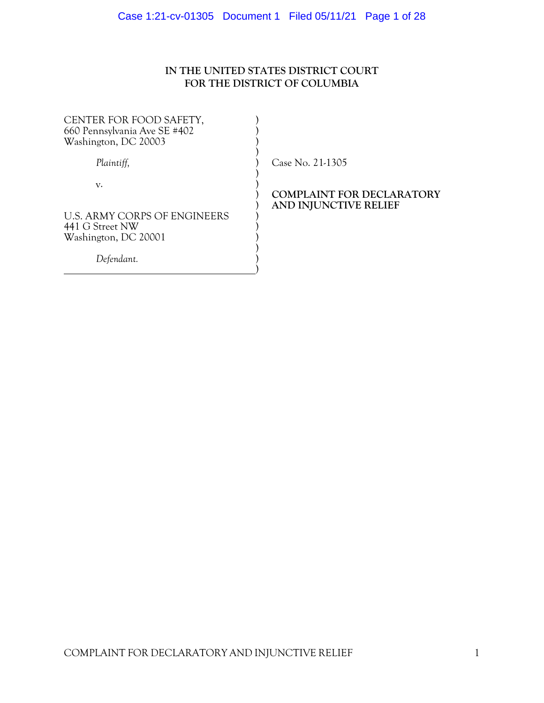# **IN THE UNITED STATES DISTRICT COURT FOR THE DISTRICT OF COLUMBIA**

| CENTER FOR FOOD SAFETY,<br>660 Pennsylvania Ave SE #402 |  |
|---------------------------------------------------------|--|
| Washington, DC 20003                                    |  |
| Plaintiff,                                              |  |
| v.                                                      |  |
| U.S. ARMY CORPS OF ENGINEERS                            |  |
| 441 G Street NW<br>Washington, DC 20001                 |  |
| Defendant.                                              |  |
|                                                         |  |

) Case No. 21-1305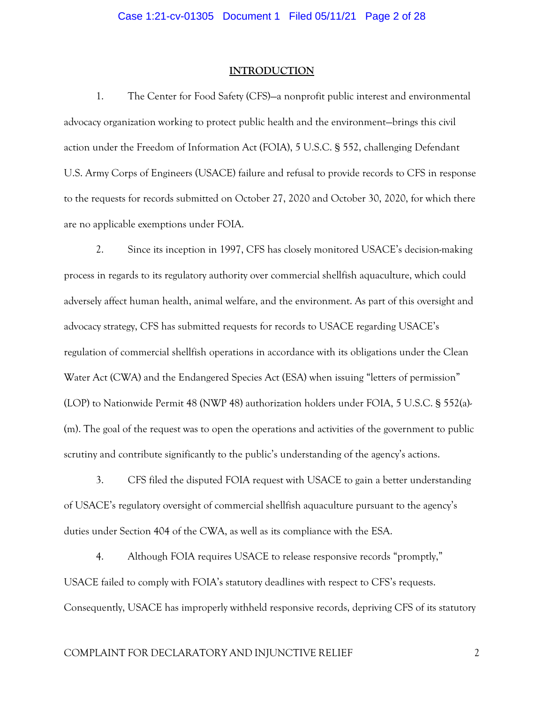#### **INTRODUCTION**

1. The Center for Food Safety (CFS)—a nonprofit public interest and environmental advocacy organization working to protect public health and the environment—brings this civil action under the Freedom of Information Act (FOIA), 5 U.S.C. § 552, challenging Defendant U.S. Army Corps of Engineers (USACE) failure and refusal to provide records to CFS in response to the requests for records submitted on October 27, 2020 and October 30, 2020, for which there are no applicable exemptions under FOIA.

2. Since its inception in 1997, CFS has closely monitored USACE's decision-making process in regards to its regulatory authority over commercial shellfish aquaculture, which could adversely affect human health, animal welfare, and the environment. As part of this oversight and advocacy strategy, CFS has submitted requests for records to USACE regarding USACE's regulation of commercial shellfish operations in accordance with its obligations under the Clean Water Act (CWA) and the Endangered Species Act (ESA) when issuing "letters of permission" (LOP) to Nationwide Permit 48 (NWP 48) authorization holders under FOIA, 5 U.S.C. § 552(a)- (m). The goal of the request was to open the operations and activities of the government to public scrutiny and contribute significantly to the public's understanding of the agency's actions.

3. CFS filed the disputed FOIA request with USACE to gain a better understanding of USACE's regulatory oversight of commercial shellfish aquaculture pursuant to the agency's duties under Section 404 of the CWA, as well as its compliance with the ESA.

4. Although FOIA requires USACE to release responsive records "promptly," USACE failed to comply with FOIA's statutory deadlines with respect to CFS's requests. Consequently, USACE has improperly withheld responsive records, depriving CFS of its statutory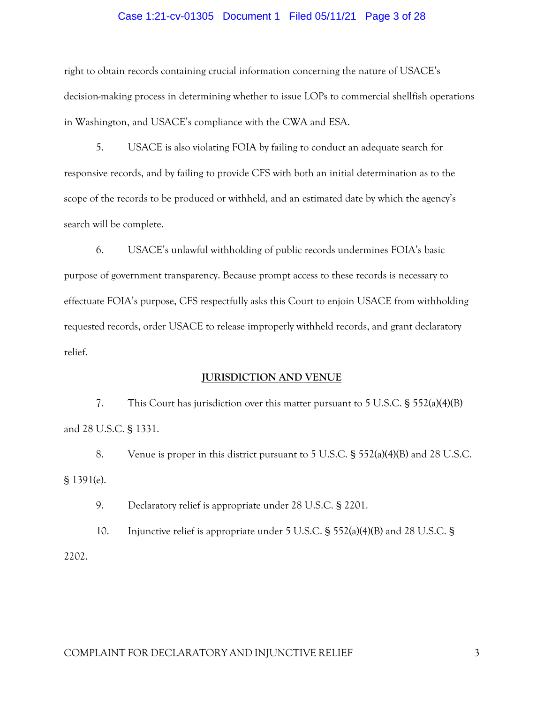#### Case 1:21-cv-01305 Document 1 Filed 05/11/21 Page 3 of 28

right to obtain records containing crucial information concerning the nature of USACE's decision-making process in determining whether to issue LOPs to commercial shellfish operations in Washington, and USACE's compliance with the CWA and ESA.

5. USACE is also violating FOIA by failing to conduct an adequate search for responsive records, and by failing to provide CFS with both an initial determination as to the scope of the records to be produced or withheld, and an estimated date by which the agency's search will be complete.

6. USACE's unlawful withholding of public records undermines FOIA's basic purpose of government transparency. Because prompt access to these records is necessary to effectuate FOIA's purpose, CFS respectfully asks this Court to enjoin USACE from withholding requested records, order USACE to release improperly withheld records, and grant declaratory relief.

### **JURISDICTION AND VENUE**

7. This Court has jurisdiction over this matter pursuant to 5 U.S.C. § 552(a)(4)(B) and 28 U.S.C. § 1331.

8. Venue is proper in this district pursuant to 5 U.S.C. § 552(a)(4)(B) and 28 U.S.C. § 1391(e).

9. Declaratory relief is appropriate under 28 U.S.C. § 2201.

10. Injunctive relief is appropriate under 5 U.S.C. § 552(a)(4)(B) and 28 U.S.C. § 2202.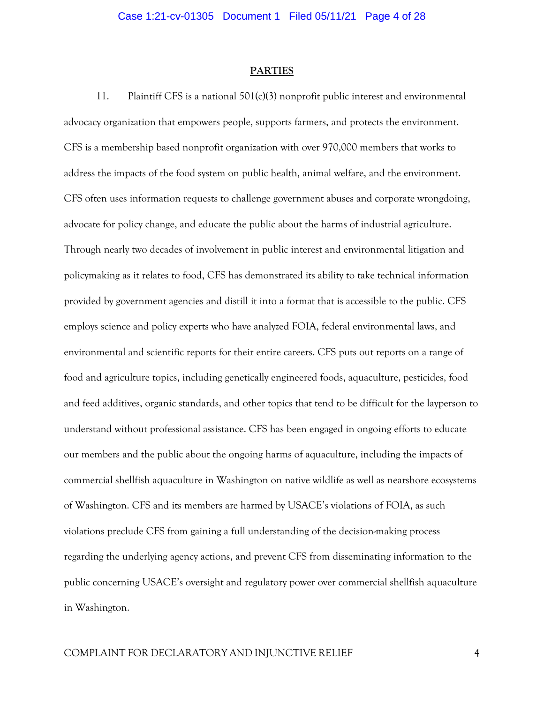#### **PARTIES**

11. Plaintiff CFS is a national 501(c)(3) nonprofit public interest and environmental advocacy organization that empowers people, supports farmers, and protects the environment. CFS is a membership based nonprofit organization with over 970,000 members that works to address the impacts of the food system on public health, animal welfare, and the environment. CFS often uses information requests to challenge government abuses and corporate wrongdoing, advocate for policy change, and educate the public about the harms of industrial agriculture. Through nearly two decades of involvement in public interest and environmental litigation and policymaking as it relates to food, CFS has demonstrated its ability to take technical information provided by government agencies and distill it into a format that is accessible to the public. CFS employs science and policy experts who have analyzed FOIA, federal environmental laws, and environmental and scientific reports for their entire careers. CFS puts out reports on a range of food and agriculture topics, including genetically engineered foods, aquaculture, pesticides, food and feed additives, organic standards, and other topics that tend to be difficult for the layperson to understand without professional assistance. CFS has been engaged in ongoing efforts to educate our members and the public about the ongoing harms of aquaculture, including the impacts of commercial shellfish aquaculture in Washington on native wildlife as well as nearshore ecosystems of Washington. CFS and its members are harmed by USACE's violations of FOIA, as such violations preclude CFS from gaining a full understanding of the decision-making process regarding the underlying agency actions, and prevent CFS from disseminating information to the public concerning USACE's oversight and regulatory power over commercial shellfish aquaculture in Washington.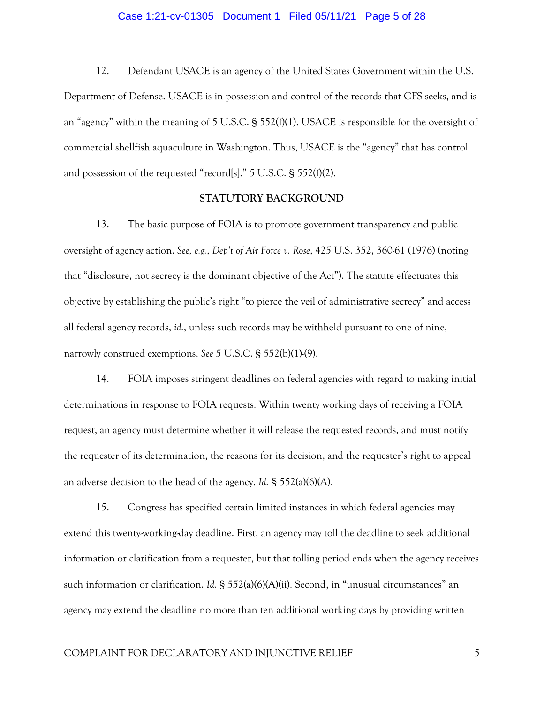#### Case 1:21-cv-01305 Document 1 Filed 05/11/21 Page 5 of 28

12. Defendant USACE is an agency of the United States Government within the U.S. Department of Defense. USACE is in possession and control of the records that CFS seeks, and is an "agency" within the meaning of 5 U.S.C. § 552(f)(1). USACE is responsible for the oversight of commercial shellfish aquaculture in Washington. Thus, USACE is the "agency" that has control and possession of the requested "record[s]." 5 U.S.C. § 552(f)(2).

#### **STATUTORY BACKGROUND**

13. The basic purpose of FOIA is to promote government transparency and public oversight of agency action. *See, e.g.*, *Dep't of Air Force v. Rose*, 425 U.S. 352, 360-61 (1976) (noting that "disclosure, not secrecy is the dominant objective of the Act"). The statute effectuates this objective by establishing the public's right "to pierce the veil of administrative secrecy" and access all federal agency records, *id.*, unless such records may be withheld pursuant to one of nine, narrowly construed exemptions. *See* 5 U.S.C. § 552(b)(1)-(9).

14. FOIA imposes stringent deadlines on federal agencies with regard to making initial determinations in response to FOIA requests. Within twenty working days of receiving a FOIA request, an agency must determine whether it will release the requested records, and must notify the requester of its determination, the reasons for its decision, and the requester's right to appeal an adverse decision to the head of the agency. *Id.* § 552(a)(6)(A).

15. Congress has specified certain limited instances in which federal agencies may extend this twenty-working-day deadline. First, an agency may toll the deadline to seek additional information or clarification from a requester, but that tolling period ends when the agency receives such information or clarification. *Id.* § 552(a)(6)(A)(ii). Second, in "unusual circumstances" an agency may extend the deadline no more than ten additional working days by providing written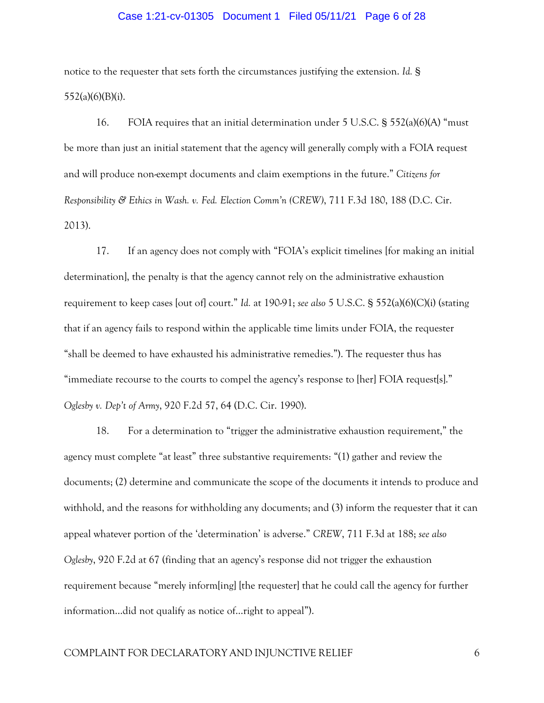### Case 1:21-cv-01305 Document 1 Filed 05/11/21 Page 6 of 28

notice to the requester that sets forth the circumstances justifying the extension. *Id.* § 552(a)(6)(B)(i).

16. FOIA requires that an initial determination under 5 U.S.C. § 552(a)(6)(A) "must be more than just an initial statement that the agency will generally comply with a FOIA request and will produce non-exempt documents and claim exemptions in the future." *Citizens for Responsibility & Ethics in Wash. v. Fed. Election Comm'n (CREW)*, 711 F.3d 180, 188 (D.C. Cir. 2013).

17. If an agency does not comply with "FOIA's explicit timelines [for making an initial determination], the penalty is that the agency cannot rely on the administrative exhaustion requirement to keep cases [out of] court." *Id.* at 190-91; *see also* 5 U.S.C. § 552(a)(6)(C)(i) (stating that if an agency fails to respond within the applicable time limits under FOIA, the requester "shall be deemed to have exhausted his administrative remedies."). The requester thus has "immediate recourse to the courts to compel the agency's response to [her] FOIA request[s]." *Oglesby v. Dep't of Army*, 920 F.2d 57, 64 (D.C. Cir. 1990).

18. For a determination to "trigger the administrative exhaustion requirement," the agency must complete "at least" three substantive requirements: "(1) gather and review the documents; (2) determine and communicate the scope of the documents it intends to produce and withhold, and the reasons for withholding any documents; and (3) inform the requester that it can appeal whatever portion of the 'determination' is adverse." *CREW*, 711 F.3d at 188; *see also Oglesby*, 920 F.2d at 67 (finding that an agency's response did not trigger the exhaustion requirement because "merely inform[ing] [the requester] that he could call the agency for further information…did not qualify as notice of…right to appeal").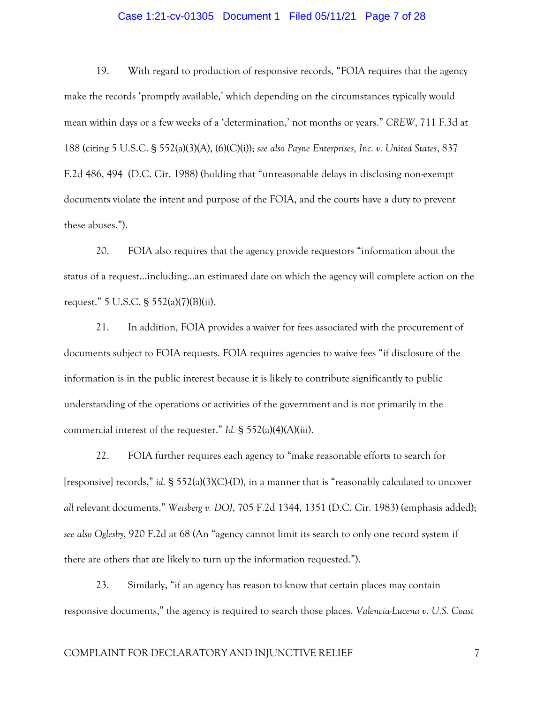### Case 1:21-cv-01305 Document 1 Filed 05/11/21 Page 7 of 28

19. With regard to production of responsive records, "FOIA requires that the agency make the records 'promptly available,' which depending on the circumstances typically would mean within days or a few weeks of a 'determination,' not months or years." *CREW*, 711 F.3d at 188 (citing 5 U.S.C. § 552(a)(3)(A), (6)(C)(i)); *see also Payne Enterprises, Inc. v. United States*, 837 F.2d 486, 494 (D.C. Cir. 1988) (holding that "unreasonable delays in disclosing non-exempt documents violate the intent and purpose of the FOIA, and the courts have a duty to prevent these abuses.").

20. FOIA also requires that the agency provide requestors "information about the status of a request…including…an estimated date on which the agency will complete action on the request." 5 U.S.C. § 552(a)(7)(B)(ii).

21. In addition, FOIA provides a waiver for fees associated with the procurement of documents subject to FOIA requests. FOIA requires agencies to waive fees "if disclosure of the information is in the public interest because it is likely to contribute significantly to public understanding of the operations or activities of the government and is not primarily in the commercial interest of the requester." *Id.* § 552(a)(4)(A)(iii).

22. FOIA further requires each agency to "make reasonable efforts to search for [responsive] records," *id.* § 552(a)(3)(C)-(D), in a manner that is "reasonably calculated to uncover *all* relevant documents." *Weisberg v. DOJ*, 705 F.2d 1344, 1351 (D.C. Cir. 1983) (emphasis added); *see also Oglesby*, 920 F.2d at 68 (An "agency cannot limit its search to only one record system if there are others that are likely to turn up the information requested.").

23. Similarly, "if an agency has reason to know that certain places may contain responsive documents," the agency is required to search those places. *Valencia-Lucena v. U.S. Coast*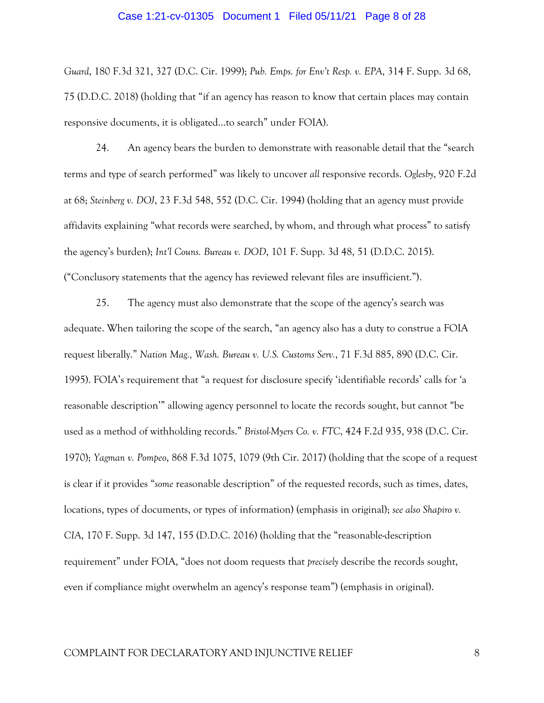#### Case 1:21-cv-01305 Document 1 Filed 05/11/21 Page 8 of 28

*Guard*, 180 F.3d 321, 327 (D.C. Cir. 1999); *Pub. Emps. for Env't Resp. v. EPA*, 314 F. Supp. 3d 68, 75 (D.D.C. 2018) (holding that "if an agency has reason to know that certain places may contain responsive documents, it is obligated…to search" under FOIA).

24. An agency bears the burden to demonstrate with reasonable detail that the "search terms and type of search performed" was likely to uncover *all* responsive records. *Oglesby*, 920 F.2d at 68; *Steinberg v. DOJ*, 23 F.3d 548, 552 (D.C. Cir. 1994) (holding that an agency must provide affidavits explaining "what records were searched, by whom, and through what process" to satisfy the agency's burden); *Int'l Couns. Bureau v. DOD*, 101 F. Supp. 3d 48, 51 (D.D.C. 2015). ("Conclusory statements that the agency has reviewed relevant files are insufficient.").

25. The agency must also demonstrate that the scope of the agency's search was adequate. When tailoring the scope of the search, "an agency also has a duty to construe a FOIA request liberally." *Nation Mag., Wash. Bureau v. U.S. Customs Serv.*, 71 F.3d 885, 890 (D.C. Cir. 1995). FOIA's requirement that "a request for disclosure specify 'identifiable records' calls for 'a reasonable description'" allowing agency personnel to locate the records sought, but cannot "be used as a method of withholding records." *Bristol-Myers Co. v. FTC*, 424 F.2d 935, 938 (D.C. Cir. 1970); *Yagman v. Pompeo*, 868 F.3d 1075, 1079 (9th Cir. 2017) (holding that the scope of a request is clear if it provides "*some* reasonable description" of the requested records, such as times, dates, locations, types of documents, or types of information) (emphasis in original); *see also Shapiro v. CIA*, 170 F. Supp. 3d 147, 155 (D.D.C. 2016) (holding that the "reasonable-description requirement" under FOIA, "does not doom requests that *precisely* describe the records sought, even if compliance might overwhelm an agency's response team") (emphasis in original).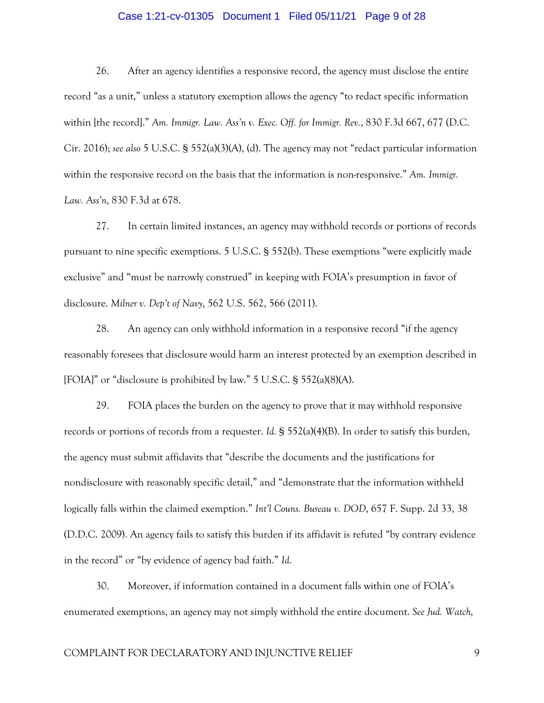### Case 1:21-cv-01305 Document 1 Filed 05/11/21 Page 9 of 28

26. After an agency identifies a responsive record, the agency must disclose the entire record "as a unit," unless a statutory exemption allows the agency "to redact specific information within [the record]." *Am. Immigr. Law. Ass'n v. Exec. Off. for Immigr. Rev.*, 830 F.3d 667, 677 (D.C. Cir. 2016); *see also* 5 U.S.C. § 552(a)(3)(A), (d). The agency may not "redact particular information within the responsive record on the basis that the information is non-responsive." *Am. Immigr. Law. Ass'n*, 830 F.3d at 678.

27. In certain limited instances, an agency may withhold records or portions of records pursuant to nine specific exemptions. 5 U.S.C. § 552(b). These exemptions "were explicitly made exclusive" and "must be narrowly construed" in keeping with FOIA's presumption in favor of disclosure. *Milner v. Dep't of Navy*, 562 U.S. 562, 566 (2011).

28. An agency can only withhold information in a responsive record "if the agency reasonably foresees that disclosure would harm an interest protected by an exemption described in [FOIA]" or "disclosure is prohibited by law." 5 U.S.C. § 552(a)(8)(A).

29. FOIA places the burden on the agency to prove that it may withhold responsive records or portions of records from a requester. *Id.* § 552(a)(4)(B). In order to satisfy this burden, the agency must submit affidavits that "describe the documents and the justifications for nondisclosure with reasonably specific detail," and "demonstrate that the information withheld logically falls within the claimed exemption." *Int'l Couns. Bureau v. DOD*, 657 F. Supp. 2d 33, 38 (D.D.C. 2009). An agency fails to satisfy this burden if its affidavit is refuted "by contrary evidence in the record" or "by evidence of agency bad faith." *Id.* 

30. Moreover, if information contained in a document falls within one of FOIA's enumerated exemptions, an agency may not simply withhold the entire document. *See Jud. Watch,*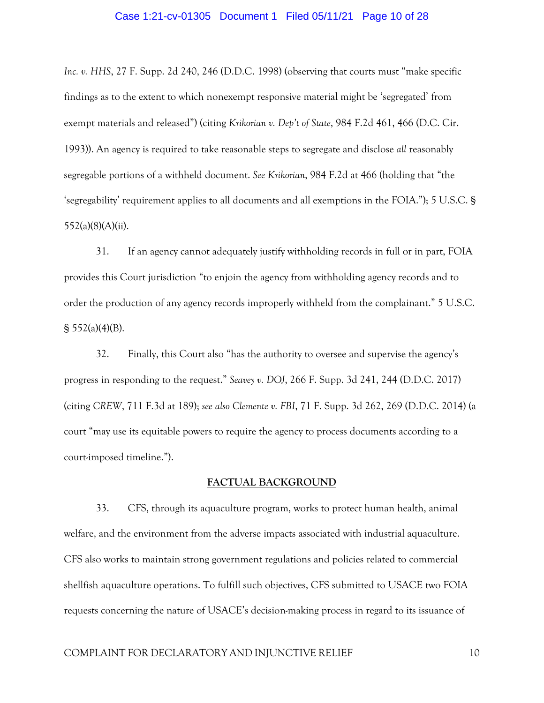#### Case 1:21-cv-01305 Document 1 Filed 05/11/21 Page 10 of 28

*Inc. v. HHS*, 27 F. Supp. 2d 240, 246 (D.D.C. 1998) (observing that courts must "make specific findings as to the extent to which nonexempt responsive material might be 'segregated' from exempt materials and released") (citing *Krikorian v. Dep't of State*, 984 F.2d 461, 466 (D.C. Cir. 1993)). An agency is required to take reasonable steps to segregate and disclose *all* reasonably segregable portions of a withheld document. *See Krikorian*, 984 F.2d at 466 (holding that "the 'segregability' requirement applies to all documents and all exemptions in the FOIA."); 5 U.S.C. § 552(a)(8)(A)(ii).

31. If an agency cannot adequately justify withholding records in full or in part, FOIA provides this Court jurisdiction "to enjoin the agency from withholding agency records and to order the production of any agency records improperly withheld from the complainant." 5 U.S.C.  $\S$  552(a)(4)(B).

32. Finally, this Court also "has the authority to oversee and supervise the agency's progress in responding to the request." *Seavey v. DOJ*, 266 F. Supp. 3d 241, 244 (D.D.C. 2017) (citing *CREW*, 711 F.3d at 189); *see also Clemente v. FBI*, 71 F. Supp. 3d 262, 269 (D.D.C. 2014) (a court "may use its equitable powers to require the agency to process documents according to a court-imposed timeline.").

#### **FACTUAL BACKGROUND**

33. CFS, through its aquaculture program, works to protect human health, animal welfare, and the environment from the adverse impacts associated with industrial aquaculture. CFS also works to maintain strong government regulations and policies related to commercial shellfish aquaculture operations. To fulfill such objectives, CFS submitted to USACE two FOIA requests concerning the nature of USACE's decision-making process in regard to its issuance of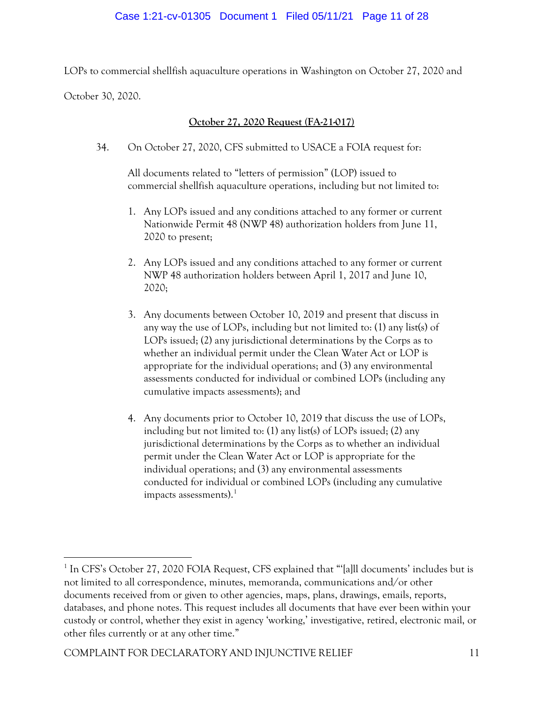LOPs to commercial shellfish aquaculture operations in Washington on October 27, 2020 and

October 30, 2020.

# **October 27, 2020 Request (FA-21-017)**

34. On October 27, 2020, CFS submitted to USACE a FOIA request for:

All documents related to "letters of permission" (LOP) issued to commercial shellfish aquaculture operations, including but not limited to:

- 1. Any LOPs issued and any conditions attached to any former or current Nationwide Permit 48 (NWP 48) authorization holders from June 11, 2020 to present;
- 2. Any LOPs issued and any conditions attached to any former or current NWP 48 authorization holders between April 1, 2017 and June 10, 2020;
- 3. Any documents between October 10, 2019 and present that discuss in any way the use of LOPs, including but not limited to: (1) any list(s) of LOPs issued; (2) any jurisdictional determinations by the Corps as to whether an individual permit under the Clean Water Act or LOP is appropriate for the individual operations; and (3) any environmental assessments conducted for individual or combined LOPs (including any cumulative impacts assessments); and
- 4. Any documents prior to October 10, 2019 that discuss the use of LOPs, including but not limited to: (1) any list(s) of LOPs issued; (2) any jurisdictional determinations by the Corps as to whether an individual permit under the Clean Water Act or LOP is appropriate for the individual operations; and (3) any environmental assessments conducted for individual or combined LOPs (including any cumulative impacts assessments). $<sup>1</sup>$  $<sup>1</sup>$  $<sup>1</sup>$ </sup>

<span id="page-10-0"></span><sup>&</sup>lt;sup>1</sup> In CFS's October 27, 2020 FOIA Request, CFS explained that "'[a]ll documents' includes but is not limited to all correspondence, minutes, memoranda, communications and/or other documents received from or given to other agencies, maps, plans, drawings, emails, reports, databases, and phone notes. This request includes all documents that have ever been within your custody or control, whether they exist in agency 'working,' investigative, retired, electronic mail, or other files currently or at any other time."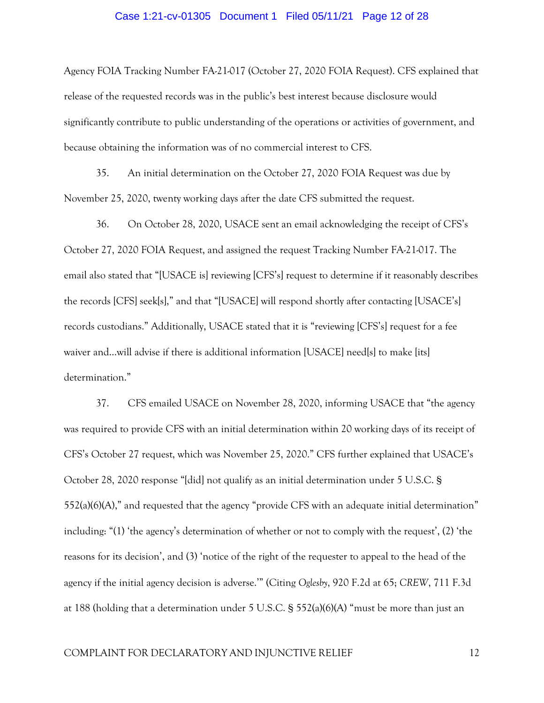#### Case 1:21-cv-01305 Document 1 Filed 05/11/21 Page 12 of 28

Agency FOIA Tracking Number FA-21-017 (October 27, 2020 FOIA Request). CFS explained that release of the requested records was in the public's best interest because disclosure would significantly contribute to public understanding of the operations or activities of government, and because obtaining the information was of no commercial interest to CFS.

35. An initial determination on the October 27, 2020 FOIA Request was due by November 25, 2020, twenty working days after the date CFS submitted the request.

36. On October 28, 2020, USACE sent an email acknowledging the receipt of CFS's October 27, 2020 FOIA Request, and assigned the request Tracking Number FA-21-017. The email also stated that "[USACE is] reviewing [CFS's] request to determine if it reasonably describes the records [CFS] seek[s]," and that "[USACE] will respond shortly after contacting [USACE's] records custodians." Additionally, USACE stated that it is "reviewing [CFS's] request for a fee waiver and…will advise if there is additional information [USACE] need[s] to make [its] determination."

37. CFS emailed USACE on November 28, 2020, informing USACE that "the agency was required to provide CFS with an initial determination within 20 working days of its receipt of CFS's October 27 request, which was November 25, 2020." CFS further explained that USACE's October 28, 2020 response "[did] not qualify as an initial determination under 5 U.S.C. § 552(a)(6)(A)," and requested that the agency "provide CFS with an adequate initial determination" including: "(1) 'the agency's determination of whether or not to comply with the request', (2) 'the reasons for its decision', and (3) 'notice of the right of the requester to appeal to the head of the agency if the initial agency decision is adverse.'" (Citing *Oglesby*, 920 F.2d at 65; *CREW*, 711 F.3d at 188 (holding that a determination under 5 U.S.C. § 552(a)(6)(A) "must be more than just an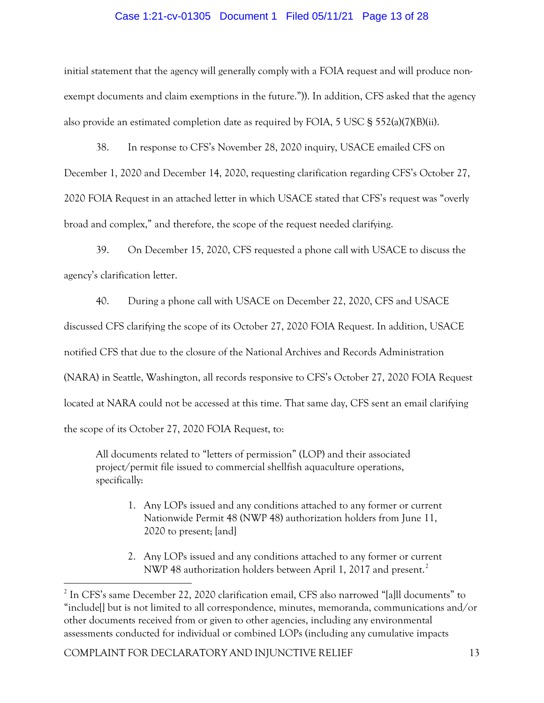## Case 1:21-cv-01305 Document 1 Filed 05/11/21 Page 13 of 28

initial statement that the agency will generally comply with a FOIA request and will produce nonexempt documents and claim exemptions in the future.")). In addition, CFS asked that the agency also provide an estimated completion date as required by FOIA, 5 USC § 552(a)(7)(B)(ii).

38. In response to CFS's November 28, 2020 inquiry, USACE emailed CFS on December 1, 2020 and December 14, 2020, requesting clarification regarding CFS's October 27, 2020 FOIA Request in an attached letter in which USACE stated that CFS's request was "overly broad and complex," and therefore, the scope of the request needed clarifying.

39. On December 15, 2020, CFS requested a phone call with USACE to discuss the agency's clarification letter.

40. During a phone call with USACE on December 22, 2020, CFS and USACE discussed CFS clarifying the scope of its October 27, 2020 FOIA Request. In addition, USACE notified CFS that due to the closure of the National Archives and Records Administration (NARA) in Seattle, Washington, all records responsive to CFS's October 27, 2020 FOIA Request located at NARA could not be accessed at this time. That same day, CFS sent an email clarifying the scope of its October 27, 2020 FOIA Request, to:

All documents related to "letters of permission" (LOP) and their associated project/permit file issued to commercial shellfish aquaculture operations, specifically:

- 1. Any LOPs issued and any conditions attached to any former or current Nationwide Permit 48 (NWP 48) authorization holders from June 11, 2020 to present; [and]
- 2. Any LOPs issued and any conditions attached to any former or current NWP 48 authorization holders between April 1, [2](#page-12-0)017 and present.<sup>2</sup>

<span id="page-12-0"></span><sup>&</sup>lt;sup>2</sup> In CFS's same December 22, 2020 clarification email, CFS also narrowed "[a]ll documents" to "include[] but is not limited to all correspondence, minutes, memoranda, communications and/or other documents received from or given to other agencies, including any environmental assessments conducted for individual or combined LOPs (including any cumulative impacts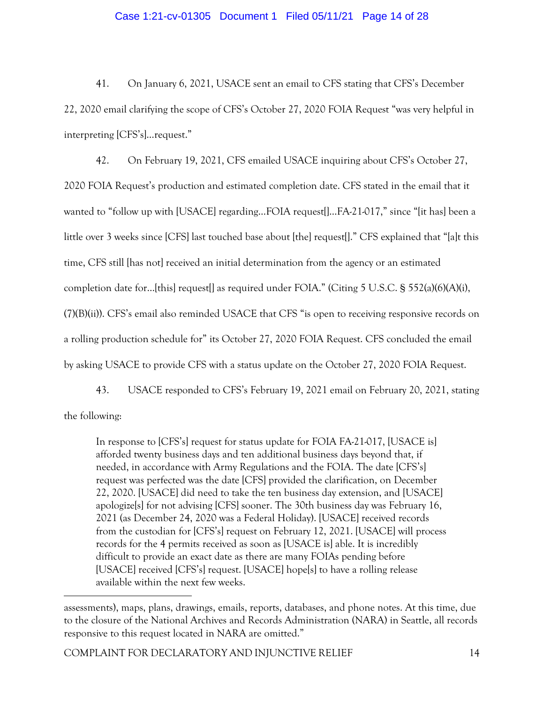## Case 1:21-cv-01305 Document 1 Filed 05/11/21 Page 14 of 28

41. On January 6, 2021, USACE sent an email to CFS stating that CFS's December 22, 2020 email clarifying the scope of CFS's October 27, 2020 FOIA Request "was very helpful in interpreting [CFS's]…request."

42. On February 19, 2021, CFS emailed USACE inquiring about CFS's October 27, 2020 FOIA Request's production and estimated completion date. CFS stated in the email that it wanted to "follow up with [USACE] regarding...FOIA request[]...FA-21-017," since "[it has] been a little over 3 weeks since [CFS] last touched base about [the] request[]." CFS explained that "[a]t this time, CFS still [has not] received an initial determination from the agency or an estimated completion date for…[this] request[] as required under FOIA." (Citing 5 U.S.C. § 552(a)(6)(A)(i), (7)(B)(ii)). CFS's email also reminded USACE that CFS "is open to receiving responsive records on a rolling production schedule for" its October 27, 2020 FOIA Request. CFS concluded the email by asking USACE to provide CFS with a status update on the October 27, 2020 FOIA Request.

43. USACE responded to CFS's February 19, 2021 email on February 20, 2021, stating

the following:

In response to [CFS's] request for status update for FOIA FA-21-017, [USACE is] afforded twenty business days and ten additional business days beyond that, if needed, in accordance with Army Regulations and the FOIA. The date [CFS's] request was perfected was the date [CFS] provided the clarification, on December 22, 2020. [USACE] did need to take the ten business day extension, and [USACE] apologize[s] for not advising [CFS] sooner. The 30th business day was February 16, 2021 (as December 24, 2020 was a Federal Holiday). [USACE] received records from the custodian for [CFS's] request on February 12, 2021. [USACE] will process records for the 4 permits received as soon as [USACE is] able. It is incredibly difficult to provide an exact date as there are many FOIAs pending before [USACE] received [CFS's] request. [USACE] hope[s] to have a rolling release available within the next few weeks.

assessments), maps, plans, drawings, emails, reports, databases, and phone notes. At this time, due to the closure of the National Archives and Records Administration (NARA) in Seattle, all records responsive to this request located in NARA are omitted."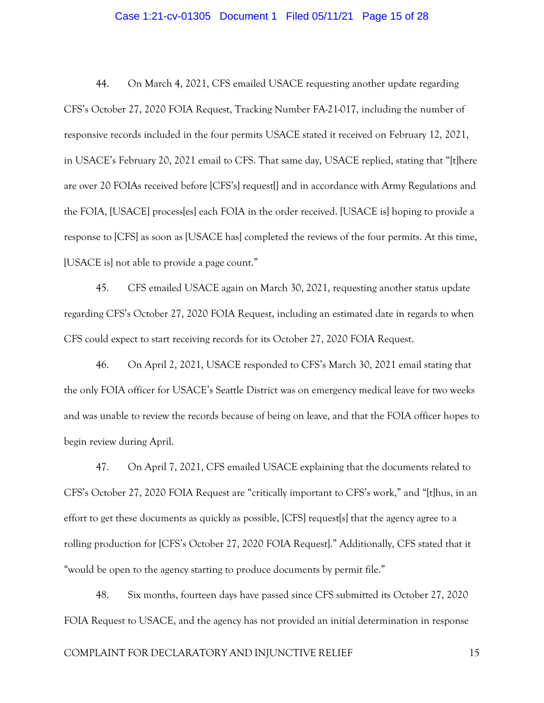### Case 1:21-cv-01305 Document 1 Filed 05/11/21 Page 15 of 28

44. On March 4, 2021, CFS emailed USACE requesting another update regarding CFS's October 27, 2020 FOIA Request, Tracking Number FA-21-017, including the number of responsive records included in the four permits USACE stated it received on February 12, 2021, in USACE's February 20, 2021 email to CFS. That same day, USACE replied, stating that "[t]here are over 20 FOIAs received before [CFS's] request[] and in accordance with Army Regulations and the FOIA, [USACE] process[es] each FOIA in the order received. [USACE is] hoping to provide a response to [CFS] as soon as [USACE has] completed the reviews of the four permits. At this time, [USACE is] not able to provide a page count."

45. CFS emailed USACE again on March 30, 2021, requesting another status update regarding CFS's October 27, 2020 FOIA Request, including an estimated date in regards to when CFS could expect to start receiving records for its October 27, 2020 FOIA Request.

46. On April 2, 2021, USACE responded to CFS's March 30, 2021 email stating that the only FOIA officer for USACE's Seattle District was on emergency medical leave for two weeks and was unable to review the records because of being on leave, and that the FOIA officer hopes to begin review during April.

47. On April 7, 2021, CFS emailed USACE explaining that the documents related to CFS's October 27, 2020 FOIA Request are "critically important to CFS's work," and "[t]hus, in an effort to get these documents as quickly as possible, [CFS] request[s] that the agency agree to a rolling production for [CFS's October 27, 2020 FOIA Request]." Additionally, CFS stated that it "would be open to the agency starting to produce documents by permit file."

48. Six months, fourteen days have passed since CFS submitted its October 27, 2020 FOIA Request to USACE, and the agency has not provided an initial determination in response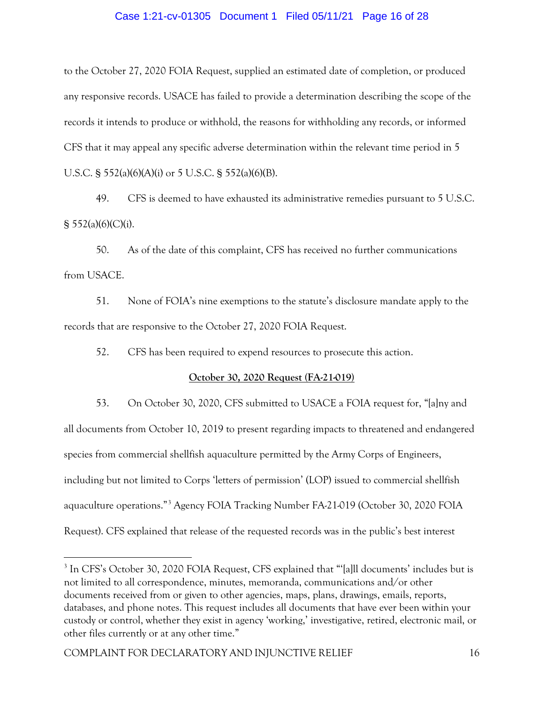## Case 1:21-cv-01305 Document 1 Filed 05/11/21 Page 16 of 28

to the October 27, 2020 FOIA Request, supplied an estimated date of completion, or produced any responsive records. USACE has failed to provide a determination describing the scope of the records it intends to produce or withhold, the reasons for withholding any records, or informed CFS that it may appeal any specific adverse determination within the relevant time period in 5 U.S.C. § 552(a)(6)(A)(i) or 5 U.S.C. § 552(a)(6)(B).

49. CFS is deemed to have exhausted its administrative remedies pursuant to 5 U.S.C.  $§ 552(a)(6)(C)(i).$ 

50. As of the date of this complaint, CFS has received no further communications from USACE.

51. None of FOIA's nine exemptions to the statute's disclosure mandate apply to the records that are responsive to the October 27, 2020 FOIA Request.

52. CFS has been required to expend resources to prosecute this action.

## **October 30, 2020 Request (FA-21-019)**

53. On October 30, 2020, CFS submitted to USACE a FOIA request for, "[a]ny and all documents from October 10, 2019 to present regarding impacts to threatened and endangered species from commercial shellfish aquaculture permitted by the Army Corps of Engineers, including but not limited to Corps 'letters of permission' (LOP) issued to commercial shellfish aquaculture operations."[3](#page-15-0) Agency FOIA Tracking Number FA-21-019 (October 30, 2020 FOIA Request). CFS explained that release of the requested records was in the public's best interest

<span id="page-15-0"></span><sup>3</sup> In CFS's October 30, 2020 FOIA Request, CFS explained that "'[a]ll documents' includes but is not limited to all correspondence, minutes, memoranda, communications and/or other documents received from or given to other agencies, maps, plans, drawings, emails, reports, databases, and phone notes. This request includes all documents that have ever been within your custody or control, whether they exist in agency 'working,' investigative, retired, electronic mail, or other files currently or at any other time."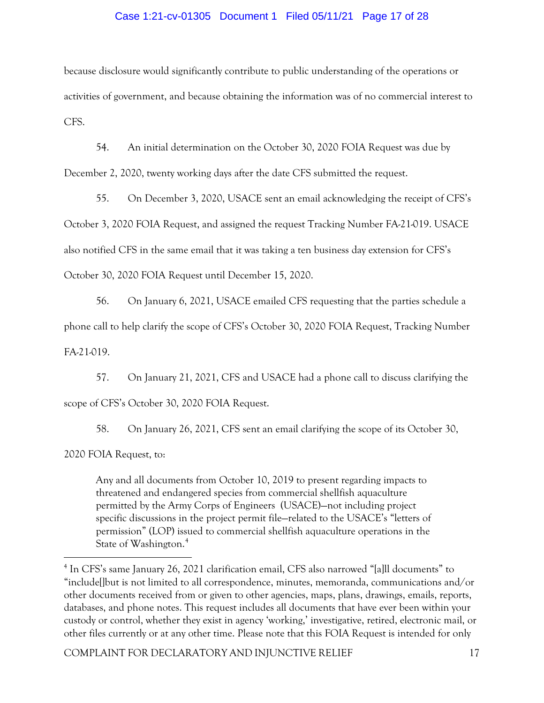## Case 1:21-cv-01305 Document 1 Filed 05/11/21 Page 17 of 28

because disclosure would significantly contribute to public understanding of the operations or activities of government, and because obtaining the information was of no commercial interest to CFS.

54. An initial determination on the October 30, 2020 FOIA Request was due by December 2, 2020, twenty working days after the date CFS submitted the request.

55. On December 3, 2020, USACE sent an email acknowledging the receipt of CFS's October 3, 2020 FOIA Request, and assigned the request Tracking Number FA-21-019. USACE also notified CFS in the same email that it was taking a ten business day extension for CFS's October 30, 2020 FOIA Request until December 15, 2020.

56. On January 6, 2021, USACE emailed CFS requesting that the parties schedule a phone call to help clarify the scope of CFS's October 30, 2020 FOIA Request, Tracking Number FA-21-019.

57. On January 21, 2021, CFS and USACE had a phone call to discuss clarifying the scope of CFS's October 30, 2020 FOIA Request.

58. On January 26, 2021, CFS sent an email clarifying the scope of its October 30,

2020 FOIA Request, to:

Any and all documents from October 10, 2019 to present regarding impacts to threatened and endangered species from commercial shellfish aquaculture permitted by the Army Corps of Engineers (USACE)—not including project specific discussions in the project permit file—related to the USACE's "letters of permission" (LOP) issued to commercial shellfish aquaculture operations in the State of Washington. [4](#page-16-0)

<span id="page-16-0"></span><sup>4</sup> In CFS's same January 26, 2021 clarification email, CFS also narrowed "[a]ll documents" to "include[]but is not limited to all correspondence, minutes, memoranda, communications and/or other documents received from or given to other agencies, maps, plans, drawings, emails, reports, databases, and phone notes. This request includes all documents that have ever been within your custody or control, whether they exist in agency 'working,' investigative, retired, electronic mail, or other files currently or at any other time. Please note that this FOIA Request is intended for only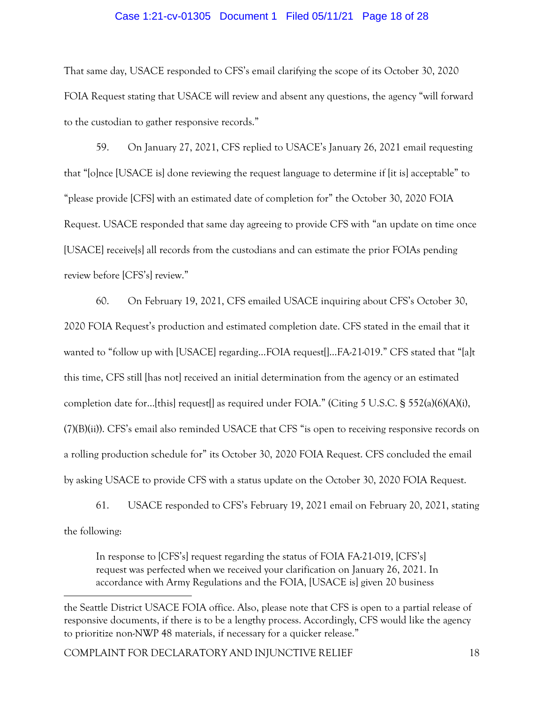### Case 1:21-cv-01305 Document 1 Filed 05/11/21 Page 18 of 28

That same day, USACE responded to CFS's email clarifying the scope of its October 30, 2020 FOIA Request stating that USACE will review and absent any questions, the agency "will forward to the custodian to gather responsive records."

59. On January 27, 2021, CFS replied to USACE's January 26, 2021 email requesting that "[o]nce [USACE is] done reviewing the request language to determine if [it is] acceptable" to "please provide [CFS] with an estimated date of completion for" the October 30, 2020 FOIA Request. USACE responded that same day agreeing to provide CFS with "an update on time once [USACE] receive[s] all records from the custodians and can estimate the prior FOIAs pending review before [CFS's] review."

60. On February 19, 2021, CFS emailed USACE inquiring about CFS's October 30, 2020 FOIA Request's production and estimated completion date. CFS stated in the email that it wanted to "follow up with [USACE] regarding...FOIA request[...FA-21-019." CFS stated that "[a]t this time, CFS still [has not] received an initial determination from the agency or an estimated completion date for…[this] request[] as required under FOIA." (Citing 5 U.S.C. § 552(a)(6)(A)(i), (7)(B)(ii)). CFS's email also reminded USACE that CFS "is open to receiving responsive records on a rolling production schedule for" its October 30, 2020 FOIA Request. CFS concluded the email by asking USACE to provide CFS with a status update on the October 30, 2020 FOIA Request.

61. USACE responded to CFS's February 19, 2021 email on February 20, 2021, stating the following:

In response to [CFS's] request regarding the status of FOIA FA-21-019, [CFS's] request was perfected when we received your clarification on January 26, 2021. In accordance with Army Regulations and the FOIA, [USACE is] given 20 business

the Seattle District USACE FOIA office. Also, please note that CFS is open to a partial release of responsive documents, if there is to be a lengthy process. Accordingly, CFS would like the agency to prioritize non-NWP 48 materials, if necessary for a quicker release."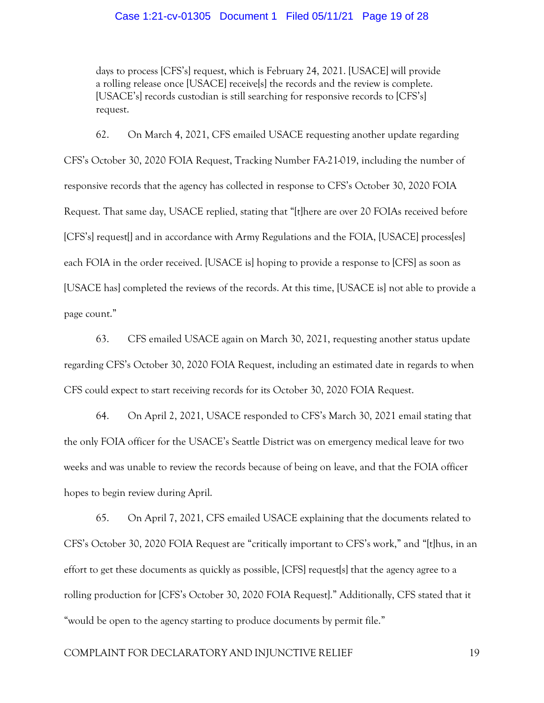### Case 1:21-cv-01305 Document 1 Filed 05/11/21 Page 19 of 28

days to process [CFS's] request, which is February 24, 2021. [USACE] will provide a rolling release once [USACE] receive[s] the records and the review is complete. [USACE's] records custodian is still searching for responsive records to [CFS's] request.

62. On March 4, 2021, CFS emailed USACE requesting another update regarding CFS's October 30, 2020 FOIA Request, Tracking Number FA-21-019, including the number of responsive records that the agency has collected in response to CFS's October 30, 2020 FOIA Request. That same day, USACE replied, stating that "[t]here are over 20 FOIAs received before [CFS's] request[] and in accordance with Army Regulations and the FOIA, [USACE] process[es] each FOIA in the order received. [USACE is] hoping to provide a response to [CFS] as soon as [USACE has] completed the reviews of the records. At this time, [USACE is] not able to provide a page count."

63. CFS emailed USACE again on March 30, 2021, requesting another status update regarding CFS's October 30, 2020 FOIA Request, including an estimated date in regards to when CFS could expect to start receiving records for its October 30, 2020 FOIA Request.

64. On April 2, 2021, USACE responded to CFS's March 30, 2021 email stating that the only FOIA officer for the USACE's Seattle District was on emergency medical leave for two weeks and was unable to review the records because of being on leave, and that the FOIA officer hopes to begin review during April.

65. On April 7, 2021, CFS emailed USACE explaining that the documents related to CFS's October 30, 2020 FOIA Request are "critically important to CFS's work," and "[t]hus, in an effort to get these documents as quickly as possible, [CFS] request[s] that the agency agree to a rolling production for [CFS's October 30, 2020 FOIA Request]." Additionally, CFS stated that it "would be open to the agency starting to produce documents by permit file."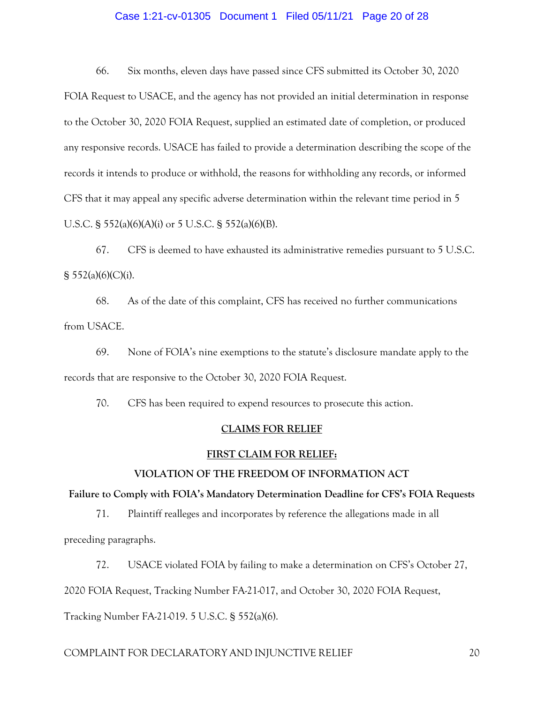## Case 1:21-cv-01305 Document 1 Filed 05/11/21 Page 20 of 28

66. Six months, eleven days have passed since CFS submitted its October 30, 2020 FOIA Request to USACE, and the agency has not provided an initial determination in response to the October 30, 2020 FOIA Request, supplied an estimated date of completion, or produced any responsive records. USACE has failed to provide a determination describing the scope of the records it intends to produce or withhold, the reasons for withholding any records, or informed CFS that it may appeal any specific adverse determination within the relevant time period in 5 U.S.C. § 552(a)(6)(A)(i) or 5 U.S.C. § 552(a)(6)(B).

67. CFS is deemed to have exhausted its administrative remedies pursuant to 5 U.S.C.  $§ 552(a)(6)(C)(i).$ 

68. As of the date of this complaint, CFS has received no further communications from USACE.

69. None of FOIA's nine exemptions to the statute's disclosure mandate apply to the records that are responsive to the October 30, 2020 FOIA Request.

70. CFS has been required to expend resources to prosecute this action.

## **CLAIMS FOR RELIEF**

#### **FIRST CLAIM FOR RELIEF:**

#### **VIOLATION OF THE FREEDOM OF INFORMATION ACT**

**Failure to Comply with FOIA's Mandatory Determination Deadline for CFS's FOIA Requests**

71. Plaintiff realleges and incorporates by reference the allegations made in all preceding paragraphs.

72. USACE violated FOIA by failing to make a determination on CFS's October 27,

2020 FOIA Request, Tracking Number FA-21-017, and October 30, 2020 FOIA Request,

Tracking Number FA-21-019. 5 U.S.C. § 552(a)(6).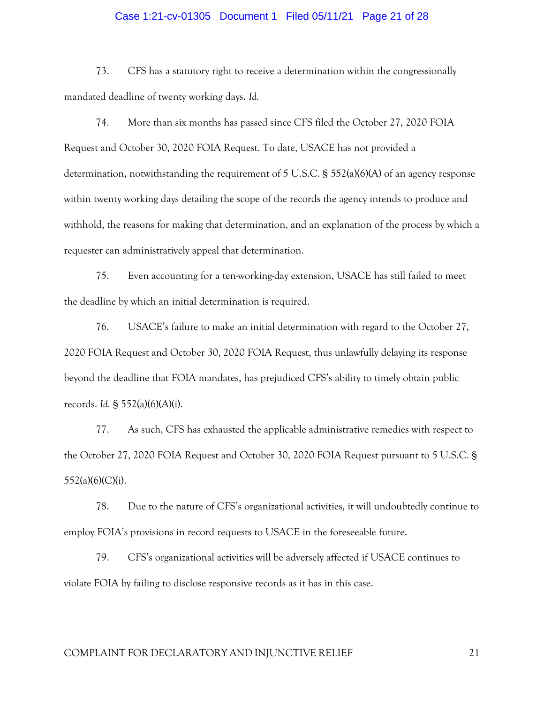#### Case 1:21-cv-01305 Document 1 Filed 05/11/21 Page 21 of 28

73. CFS has a statutory right to receive a determination within the congressionally mandated deadline of twenty working days. *Id.*

74. More than six months has passed since CFS filed the October 27, 2020 FOIA Request and October 30, 2020 FOIA Request. To date, USACE has not provided a determination, notwithstanding the requirement of 5 U.S.C. § 552(a)(6)(A) of an agency response within twenty working days detailing the scope of the records the agency intends to produce and withhold, the reasons for making that determination, and an explanation of the process by which a requester can administratively appeal that determination.

75. Even accounting for a ten-working-day extension, USACE has still failed to meet the deadline by which an initial determination is required.

76. USACE's failure to make an initial determination with regard to the October 27, 2020 FOIA Request and October 30, 2020 FOIA Request, thus unlawfully delaying its response beyond the deadline that FOIA mandates, has prejudiced CFS's ability to timely obtain public records. *Id.* § 552(a)(6)(A)(i).

77. As such, CFS has exhausted the applicable administrative remedies with respect to the October 27, 2020 FOIA Request and October 30, 2020 FOIA Request pursuant to 5 U.S.C. §  $552(a)(6)(C)(i)$ .

78. Due to the nature of CFS's organizational activities, it will undoubtedly continue to employ FOIA's provisions in record requests to USACE in the foreseeable future.

79. CFS's organizational activities will be adversely affected if USACE continues to violate FOIA by failing to disclose responsive records as it has in this case.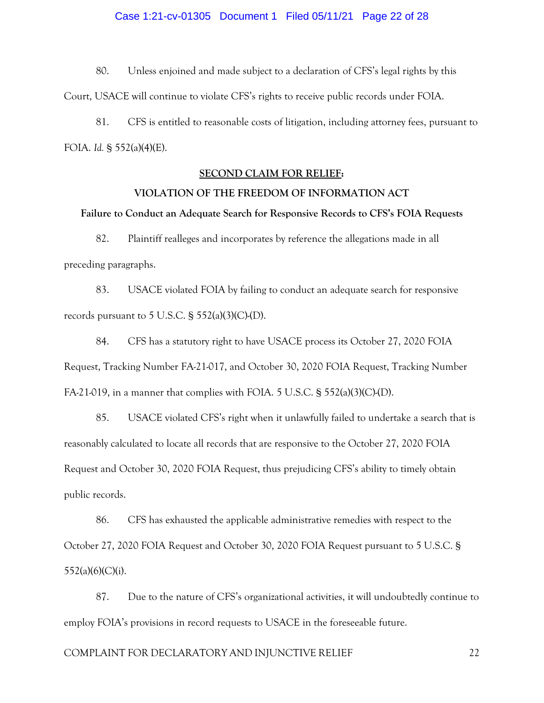#### Case 1:21-cv-01305 Document 1 Filed 05/11/21 Page 22 of 28

80. Unless enjoined and made subject to a declaration of CFS's legal rights by this

Court, USACE will continue to violate CFS's rights to receive public records under FOIA.

81. CFS is entitled to reasonable costs of litigation, including attorney fees, pursuant to FOIA. *Id.* § 552(a)(4)(E).

#### **SECOND CLAIM FOR RELIEF:**

#### **VIOLATION OF THE FREEDOM OF INFORMATION ACT**

#### **Failure to Conduct an Adequate Search for Responsive Records to CFS's FOIA Requests**

82. Plaintiff realleges and incorporates by reference the allegations made in all preceding paragraphs.

83. USACE violated FOIA by failing to conduct an adequate search for responsive records pursuant to  $5$  U.S.C.  $\S$   $552(a)(3)(C)(D)$ .

84. CFS has a statutory right to have USACE process its October 27, 2020 FOIA Request, Tracking Number FA-21-017, and October 30, 2020 FOIA Request, Tracking Number FA-21-019, in a manner that complies with FOIA. 5 U.S.C. § 552(a)(3)(C)-(D).

85. USACE violated CFS's right when it unlawfully failed to undertake a search that is reasonably calculated to locate all records that are responsive to the October 27, 2020 FOIA Request and October 30, 2020 FOIA Request, thus prejudicing CFS's ability to timely obtain public records.

86. CFS has exhausted the applicable administrative remedies with respect to the October 27, 2020 FOIA Request and October 30, 2020 FOIA Request pursuant to 5 U.S.C. §  $552(a)(6)(C)(i)$ .

87. Due to the nature of CFS's organizational activities, it will undoubtedly continue to employ FOIA's provisions in record requests to USACE in the foreseeable future.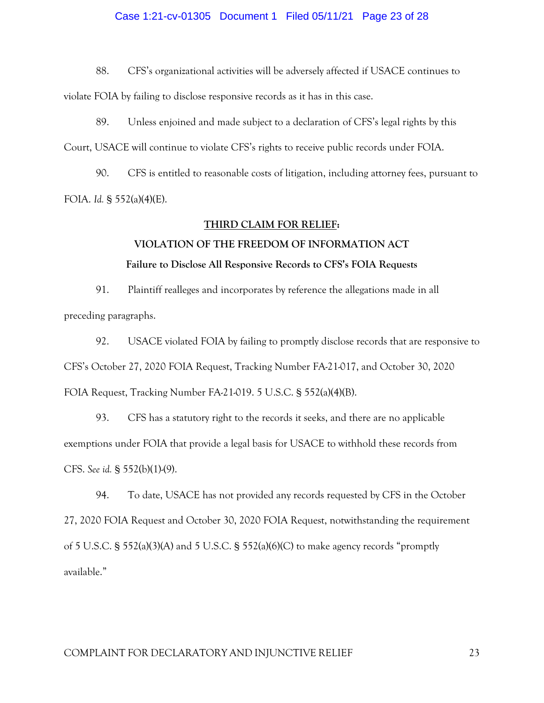### Case 1:21-cv-01305 Document 1 Filed 05/11/21 Page 23 of 28

88. CFS's organizational activities will be adversely affected if USACE continues to

violate FOIA by failing to disclose responsive records as it has in this case.

89. Unless enjoined and made subject to a declaration of CFS's legal rights by this Court, USACE will continue to violate CFS's rights to receive public records under FOIA.

90. CFS is entitled to reasonable costs of litigation, including attorney fees, pursuant to FOIA. *Id.* § 552(a)(4)(E).

## **THIRD CLAIM FOR RELIEF:**

# **VIOLATION OF THE FREEDOM OF INFORMATION ACT Failure to Disclose All Responsive Records to CFS's FOIA Requests**

91. Plaintiff realleges and incorporates by reference the allegations made in all preceding paragraphs.

92. USACE violated FOIA by failing to promptly disclose records that are responsive to CFS's October 27, 2020 FOIA Request, Tracking Number FA-21-017, and October 30, 2020 FOIA Request, Tracking Number FA-21-019. 5 U.S.C. § 552(a)(4)(B).

93. CFS has a statutory right to the records it seeks, and there are no applicable exemptions under FOIA that provide a legal basis for USACE to withhold these records from CFS. *See id.* § 552(b)(1)-(9).

94. To date, USACE has not provided any records requested by CFS in the October 27, 2020 FOIA Request and October 30, 2020 FOIA Request, notwithstanding the requirement of 5 U.S.C. § 552(a)(3)(A) and 5 U.S.C. § 552(a)(6)(C) to make agency records "promptly available."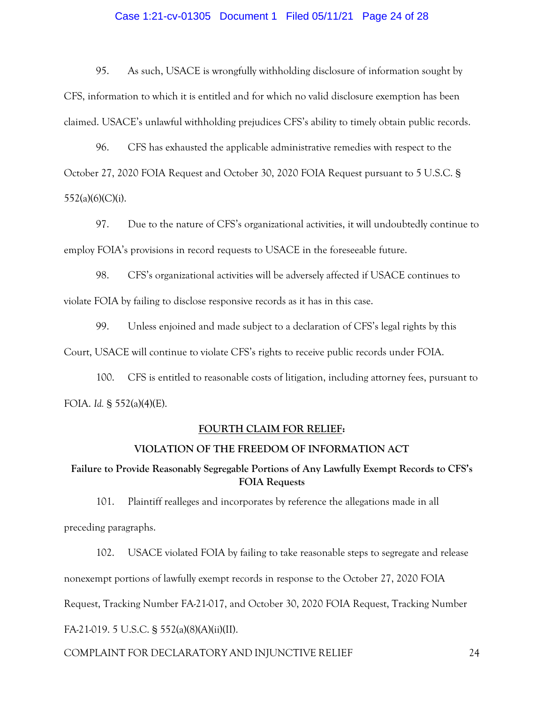### Case 1:21-cv-01305 Document 1 Filed 05/11/21 Page 24 of 28

95. As such, USACE is wrongfully withholding disclosure of information sought by CFS, information to which it is entitled and for which no valid disclosure exemption has been claimed. USACE's unlawful withholding prejudices CFS's ability to timely obtain public records.

96. CFS has exhausted the applicable administrative remedies with respect to the October 27, 2020 FOIA Request and October 30, 2020 FOIA Request pursuant to 5 U.S.C. §  $552(a)(6)(C)(i)$ .

97. Due to the nature of CFS's organizational activities, it will undoubtedly continue to employ FOIA's provisions in record requests to USACE in the foreseeable future.

98. CFS's organizational activities will be adversely affected if USACE continues to violate FOIA by failing to disclose responsive records as it has in this case.

99. Unless enjoined and made subject to a declaration of CFS's legal rights by this Court, USACE will continue to violate CFS's rights to receive public records under FOIA.

100. CFS is entitled to reasonable costs of litigation, including attorney fees, pursuant to FOIA. *Id.* § 552(a)(4)(E).

## **FOURTH CLAIM FOR RELIEF:**

## **VIOLATION OF THE FREEDOM OF INFORMATION ACT**

# **Failure to Provide Reasonably Segregable Portions of Any Lawfully Exempt Records to CFS's FOIA Requests**

101. Plaintiff realleges and incorporates by reference the allegations made in all preceding paragraphs.

102. USACE violated FOIA by failing to take reasonable steps to segregate and release nonexempt portions of lawfully exempt records in response to the October 27, 2020 FOIA Request, Tracking Number FA-21-017, and October 30, 2020 FOIA Request, Tracking Number FA-21-019. 5 U.S.C. § 552(a)(8)(A)(ii)(II).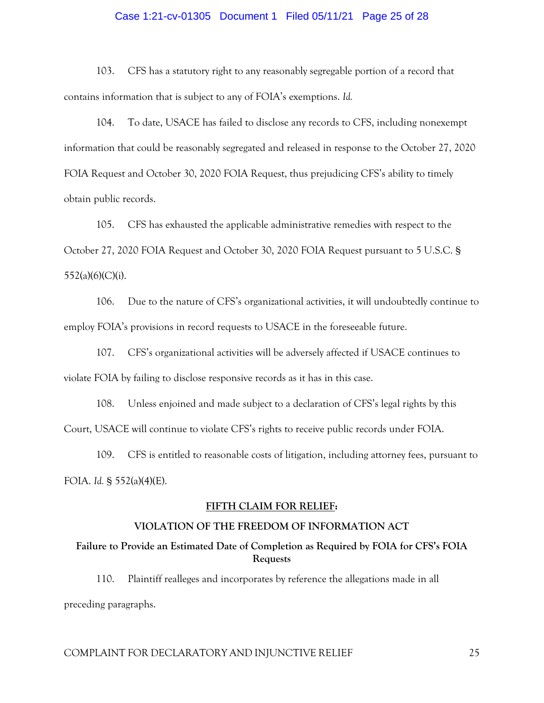### Case 1:21-cv-01305 Document 1 Filed 05/11/21 Page 25 of 28

103. CFS has a statutory right to any reasonably segregable portion of a record that contains information that is subject to any of FOIA's exemptions. *Id.* 

104. To date, USACE has failed to disclose any records to CFS, including nonexempt information that could be reasonably segregated and released in response to the October 27, 2020 FOIA Request and October 30, 2020 FOIA Request, thus prejudicing CFS's ability to timely obtain public records.

105. CFS has exhausted the applicable administrative remedies with respect to the October 27, 2020 FOIA Request and October 30, 2020 FOIA Request pursuant to 5 U.S.C. §  $552(a)(6)(C)(i)$ .

106. Due to the nature of CFS's organizational activities, it will undoubtedly continue to employ FOIA's provisions in record requests to USACE in the foreseeable future.

107. CFS's organizational activities will be adversely affected if USACE continues to violate FOIA by failing to disclose responsive records as it has in this case.

108. Unless enjoined and made subject to a declaration of CFS's legal rights by this Court, USACE will continue to violate CFS's rights to receive public records under FOIA.

109. CFS is entitled to reasonable costs of litigation, including attorney fees, pursuant to FOIA. *Id.* § 552(a)(4)(E).

#### **FIFTH CLAIM FOR RELIEF:**

## **VIOLATION OF THE FREEDOM OF INFORMATION ACT**

## **Failure to Provide an Estimated Date of Completion as Required by FOIA for CFS's FOIA Requests**

110. Plaintiff realleges and incorporates by reference the allegations made in all

preceding paragraphs.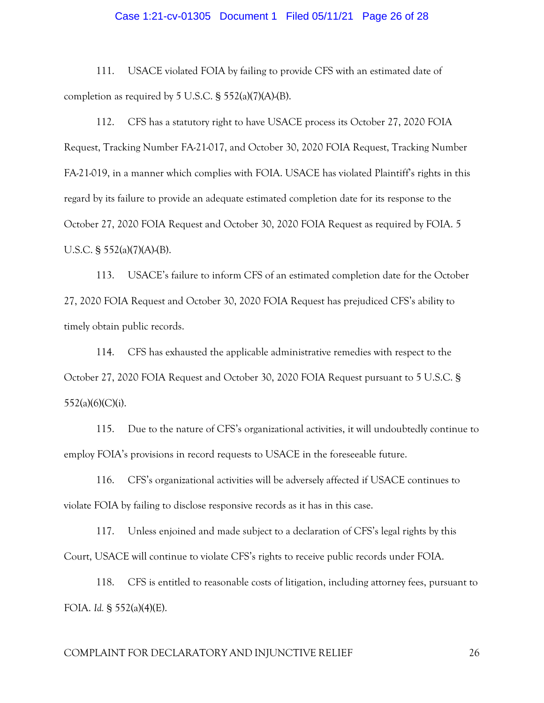#### Case 1:21-cv-01305 Document 1 Filed 05/11/21 Page 26 of 28

111. USACE violated FOIA by failing to provide CFS with an estimated date of completion as required by  $5$  U.S.C.  $\frac{2552(a)(7)(A)}{B}$ .

112. CFS has a statutory right to have USACE process its October 27, 2020 FOIA Request, Tracking Number FA-21-017, and October 30, 2020 FOIA Request, Tracking Number FA-21-019, in a manner which complies with FOIA. USACE has violated Plaintiff's rights in this regard by its failure to provide an adequate estimated completion date for its response to the October 27, 2020 FOIA Request and October 30, 2020 FOIA Request as required by FOIA. 5 U.S.C. § 552(a)(7)(A)-(B).

113. USACE's failure to inform CFS of an estimated completion date for the October 27, 2020 FOIA Request and October 30, 2020 FOIA Request has prejudiced CFS's ability to timely obtain public records.

114. CFS has exhausted the applicable administrative remedies with respect to the October 27, 2020 FOIA Request and October 30, 2020 FOIA Request pursuant to 5 U.S.C. §  $552(a)(6)(C)(i)$ .

115. Due to the nature of CFS's organizational activities, it will undoubtedly continue to employ FOIA's provisions in record requests to USACE in the foreseeable future.

116. CFS's organizational activities will be adversely affected if USACE continues to violate FOIA by failing to disclose responsive records as it has in this case.

117. Unless enjoined and made subject to a declaration of CFS's legal rights by this Court, USACE will continue to violate CFS's rights to receive public records under FOIA.

118. CFS is entitled to reasonable costs of litigation, including attorney fees, pursuant to FOIA. *Id.* § 552(a)(4)(E).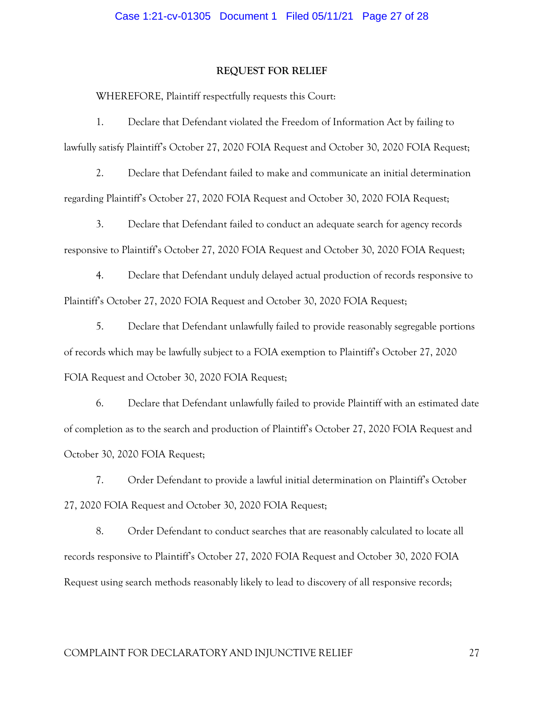#### **REQUEST FOR RELIEF**

WHEREFORE, Plaintiff respectfully requests this Court:

1. Declare that Defendant violated the Freedom of Information Act by failing to lawfully satisfy Plaintiff's October 27, 2020 FOIA Request and October 30, 2020 FOIA Request;

2. Declare that Defendant failed to make and communicate an initial determination regarding Plaintiff's October 27, 2020 FOIA Request and October 30, 2020 FOIA Request;

3. Declare that Defendant failed to conduct an adequate search for agency records responsive to Plaintiff's October 27, 2020 FOIA Request and October 30, 2020 FOIA Request;

4. Declare that Defendant unduly delayed actual production of records responsive to Plaintiff's October 27, 2020 FOIA Request and October 30, 2020 FOIA Request;

5. Declare that Defendant unlawfully failed to provide reasonably segregable portions of records which may be lawfully subject to a FOIA exemption to Plaintiff's October 27, 2020 FOIA Request and October 30, 2020 FOIA Request;

6. Declare that Defendant unlawfully failed to provide Plaintiff with an estimated date of completion as to the search and production of Plaintiff's October 27, 2020 FOIA Request and October 30, 2020 FOIA Request;

7. Order Defendant to provide a lawful initial determination on Plaintiff's October 27, 2020 FOIA Request and October 30, 2020 FOIA Request;

8. Order Defendant to conduct searches that are reasonably calculated to locate all records responsive to Plaintiff's October 27, 2020 FOIA Request and October 30, 2020 FOIA Request using search methods reasonably likely to lead to discovery of all responsive records;